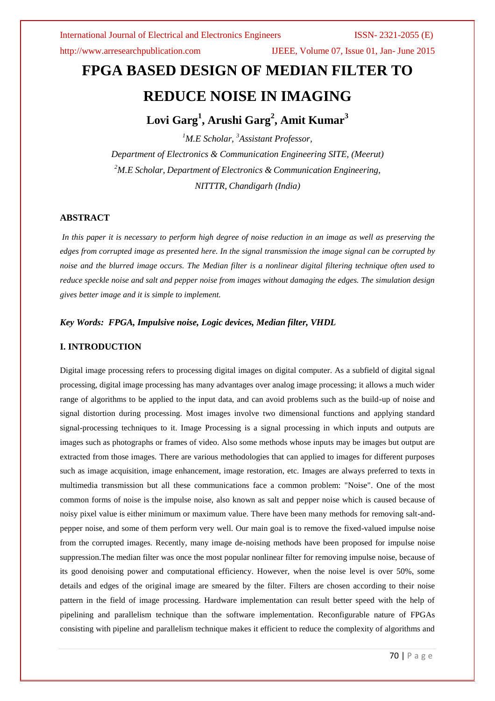http://www.arresearchpublication.com IJEEE, Volume 07, Issue 01, Jan- June 2015

# **FPGA BASED DESIGN OF MEDIAN FILTER TO REDUCE NOISE IN IMAGING**

## **Lovi Garg<sup>1</sup> , Arushi Garg<sup>2</sup> , Amit Kumar<sup>3</sup>**

*<sup>1</sup>M.E Scholar, <sup>3</sup>Assistant Professor, Department of Electronics & Communication Engineering SITE, (Meerut) <sup>2</sup>M.E Scholar, Department of Electronics & Communication Engineering, NITTTR, Chandigarh (India)*

### **ABSTRACT**

*In this paper it is necessary to perform high degree of noise reduction in an image as well as preserving the edges from corrupted image as presented here. In the signal transmission the image signal can be corrupted by noise and the blurred image occurs. The Median filter is a nonlinear digital filtering technique often used to reduce speckle noise and salt and pepper noise from images without damaging the edges. The simulation design gives better image and it is simple to implement.*

### *Key Words: FPGA, Impulsive noise, Logic devices, Median filter, VHDL*

### **I. INTRODUCTION**

Digital image processing refers to processing digital images on digital computer. As a subfield of digital signal processing, digital image processing has many advantages over analog image processing; it allows a much wider range of algorithms to be applied to the input data, and can avoid problems such as the build-up of noise and signal distortion during processing. Most images involve two dimensional functions and applying standard signal-processing techniques to it. Image Processing is a signal processing in which inputs and outputs are images such as photographs or frames of video. Also some methods whose inputs may be images but output are extracted from those images. There are various methodologies that can applied to images for different purposes such as image acquisition, image enhancement, image restoration, etc. Images are always preferred to texts in multimedia transmission but all these communications face a common problem: "Noise". One of the most common forms of noise is the impulse noise, also known as salt and pepper noise which is caused because of noisy pixel value is either minimum or maximum value. There have been many methods for removing salt-andpepper noise, and some of them perform very well. Our main goal is to remove the fixed-valued impulse noise from the corrupted images. Recently, many image de-noising methods have been proposed for impulse noise suppression.The median filter was once the most popular nonlinear filter for removing impulse noise, because of its good denoising power and computational efficiency. However, when the noise level is over 50%, some details and edges of the original image are smeared by the filter. Filters are chosen according to their noise pattern in the field of image processing. Hardware implementation can result better speed with the help of pipelining and parallelism technique than the software implementation. Reconfigurable nature of FPGAs consisting with pipeline and parallelism technique makes it efficient to reduce the complexity of algorithms and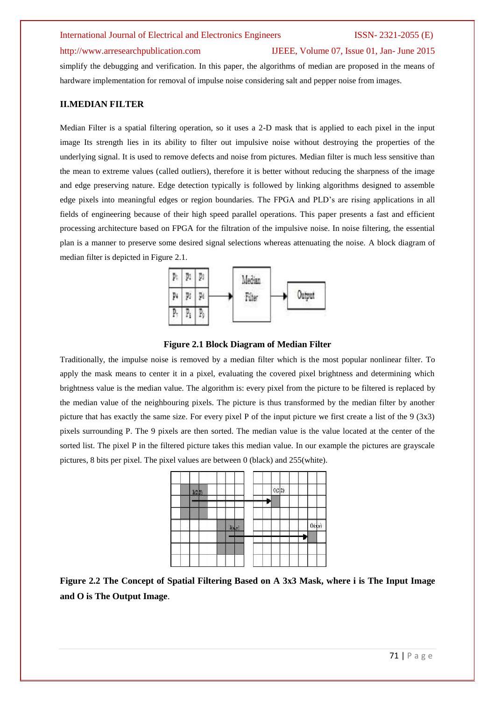### http://www.arresearchpublication.com IJEEE, Volume 07, Issue 01, Jan- June 2015

simplify the debugging and verification. In this paper, the algorithms of median are proposed in the means of hardware implementation for removal of impulse noise considering salt and pepper noise from images.

### **II.MEDIAN FILTER**

Median Filter is a spatial filtering operation, so it uses a 2-D mask that is applied to each pixel in the input image Its strength lies in its ability to filter out impulsive noise without destroying the properties of the underlying signal. It is used to remove defects and noise from pictures. Median filter is much less sensitive than the mean to extreme values (called outliers), therefore it is better without reducing the sharpness of the image and edge preserving nature. Edge detection typically is followed by linking algorithms designed to assemble edge pixels into meaningful edges or region boundaries. The FPGA and PLD's are rising applications in all fields of engineering because of their high speed parallel operations. This paper presents a fast and efficient processing architecture based on FPGA for the filtration of the impulsive noise. In noise filtering, the essential plan is a manner to preserve some desired signal selections whereas attenuating the noise. A block diagram of median filter is depicted in Figure 2.1.



### **Figure 2.1 Block Diagram of Median Filter**

Traditionally, the impulse noise is removed by a median filter which is the most popular nonlinear filter. To apply the mask means to center it in a pixel, evaluating the covered pixel brightness and determining which brightness value is the median value. The algorithm is: every pixel from the picture to be filtered is replaced by the median value of the neighbouring pixels. The picture is thus transformed by the median filter by another picture that has exactly the same size. For every pixel P of the input picture we first create a list of the 9 (3x3) pixels surrounding P. The 9 pixels are then sorted. The median value is the value located at the center of the sorted list. The pixel P in the filtered picture takes this median value. In our example the pictures are grayscale pictures, 8 bits per pixel. The pixel values are between 0 (black) and 255(white).



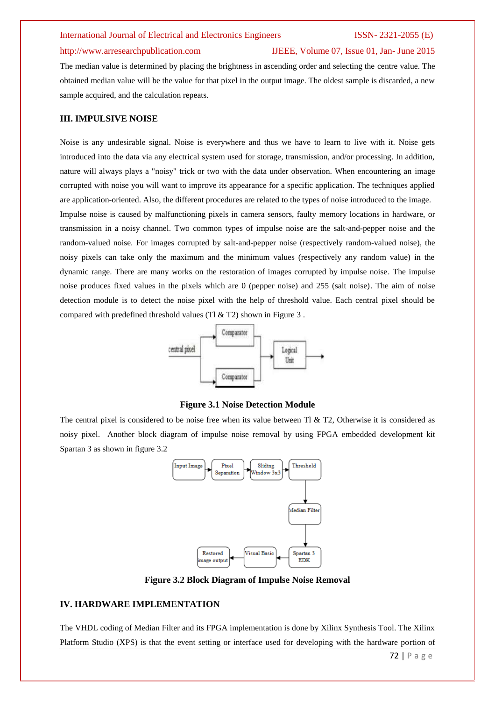### http://www.arresearchpublication.com IJEEE, Volume 07, Issue 01, Jan- June 2015

The median value is determined by placing the brightness in ascending order and selecting the centre value. The obtained median value will be the value for that pixel in the output image. The oldest sample is discarded, a new sample acquired, and the calculation repeats.

### **III. IMPULSIVE NOISE**

Noise is any undesirable signal. Noise is everywhere and thus we have to learn to live with it. Noise gets introduced into the data via any electrical system used for storage, transmission, and/or processing. In addition, nature will always plays a "noisy" trick or two with the data under observation. When encountering an image corrupted with noise you will want to improve its appearance for a specific application. The techniques applied are application-oriented. Also, the different procedures are related to the types of noise introduced to the image.

Impulse noise is caused by malfunctioning pixels in camera sensors, faulty memory locations in hardware, or transmission in a noisy channel. Two common types of impulse noise are the salt-and-pepper noise and the random-valued noise. For images corrupted by salt-and-pepper noise (respectively random-valued noise), the noisy pixels can take only the maximum and the minimum values (respectively any random value) in the dynamic range. There are many works on the restoration of images corrupted by impulse noise. The impulse noise produces fixed values in the pixels which are 0 (pepper noise) and 255 (salt noise). The aim of noise detection module is to detect the noise pixel with the help of threshold value. Each central pixel should be compared with predefined threshold values (Tl  $&$  T2) shown in Figure 3.



**Figure 3.1 Noise Detection Module**

The central pixel is considered to be noise free when its value between  $T1 \& T2$ , Otherwise it is considered as noisy pixel. Another block diagram of impulse noise removal by using FPGA embedded development kit Spartan 3 as shown in figure 3.2



**Figure 3.2 Block Diagram of Impulse Noise Removal**

### **IV. HARDWARE IMPLEMENTATION**

The VHDL coding of Median Filter and its FPGA implementation is done by Xilinx Synthesis Tool. The Xilinx Platform Studio (XPS) is that the event setting or interface used for developing with the hardware portion of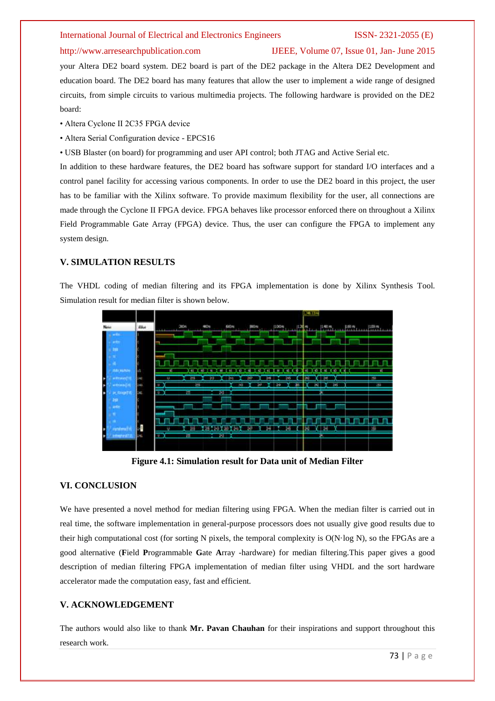### http://www.arresearchpublication.com IJEEE, Volume 07, Issue 01, Jan- June 2015

your Altera DE2 board system. DE2 board is part of the DE2 package in the Altera DE2 Development and education board. The DE2 board has many features that allow the user to implement a wide range of designed circuits, from simple circuits to various multimedia projects. The following hardware is provided on the DE2 board:

- Altera Cyclone II 2C35 FPGA device
- Altera Serial Configuration device EPCS16

• USB Blaster (on board) for programming and user API control; both JTAG and Active Serial etc.

In addition to these hardware features, the DE2 board has software support for standard I/O interfaces and a control panel facility for accessing various components. In order to use the DE2 board in this project, the user has to be familiar with the Xilinx software. To provide maximum flexibility for the user, all connections are made through the Cyclone II FPGA device. FPGA behaves like processor enforced there on throughout a Xilinx Field Programmable Gate Array (FPGA) device. Thus, the user can configure the FPGA to implement any system design.

### **V. SIMULATION RESULTS**

The VHDL coding of median filtering and its FPGA implementation is done by Xilinx Synthesis Tool. Simulation result for median filter is shown below.

|                      |            | 95.1376                                                                                                                               |
|----------------------|------------|---------------------------------------------------------------------------------------------------------------------------------------|
| Note:                | Wet        | <b>OKON</b><br>600mg<br><b>HOLD</b><br>(500m)<br>1,400 m<br>1,00 m<br><b>ROY</b><br><b>COMMUNITY</b><br><b>PS Str</b><br>$-1.1 - 1.1$ |
|                      |            |                                                                                                                                       |
|                      |            |                                                                                                                                       |
|                      |            |                                                                                                                                       |
|                      |            |                                                                                                                                       |
| <b>ITALIAN</b>       | иB.        |                                                                                                                                       |
| <b>CHICAGO</b><br>٠  | <b>Hat</b> | 38<br>es,<br>be)<br>541                                                                                                               |
| e trini<br>٠         | 145        | 255<br>cti.<br>50<br>36<br>30<br>33<br>x.<br>24                                                                                       |
| $\approx 0.000$<br>в | hа         | 囲<br>30<br>$\mathbf{U}$<br>я                                                                                                          |
| m                    |            |                                                                                                                                       |
|                      |            |                                                                                                                                       |
|                      |            |                                                                                                                                       |
|                      |            |                                                                                                                                       |
| в                    | n.         | a,                                                                                                                                    |
| ٠                    | 141        | ∾<br>ш<br>343                                                                                                                         |
|                      |            |                                                                                                                                       |
|                      |            |                                                                                                                                       |

**Figure 4.1: Simulation result for Data unit of Median Filter**

### **VI. CONCLUSION**

We have presented a novel method for median filtering using FPGA. When the median filter is carried out in real time, the software implementation in general-purpose processors does not usually give good results due to their high computational cost (for sorting N pixels, the temporal complexity is O(N·log N), so the FPGAs are a good alternative (**F**ield **P**rogrammable **G**ate **A**rray -hardware) for median filtering.This paper gives a good description of median filtering FPGA implementation of median filter using VHDL and the sort hardware accelerator made the computation easy, fast and efficient.

### **V. ACKNOWLEDGEMENT**

The authors would also like to thank **Mr. Pavan Chauhan** for their inspirations and support throughout this research work.